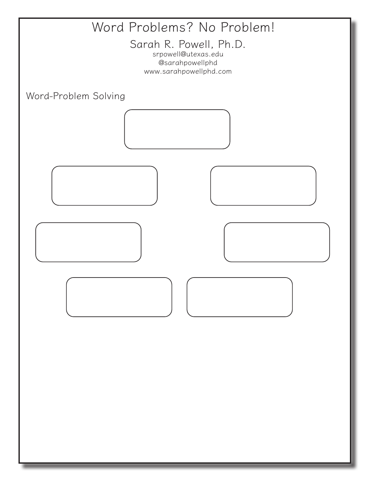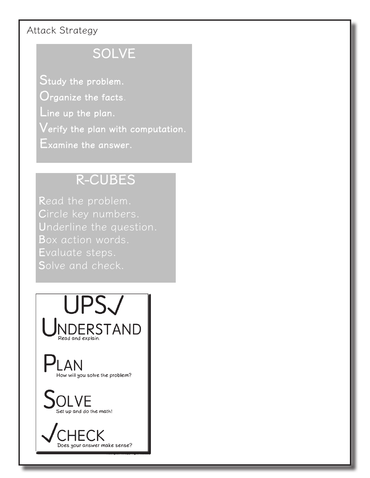## Attack Strategy

## SOLVE

Study the problem.  $\mathbf{O}$ rganize the facts. Line up the plan.  ${\sf Verify}$  the plan with computation. Examine the answer.

## R-CUBES

Read the problem. Circle key numbers. Underline the question. Box action words. Evaluate steps. Solve and check.

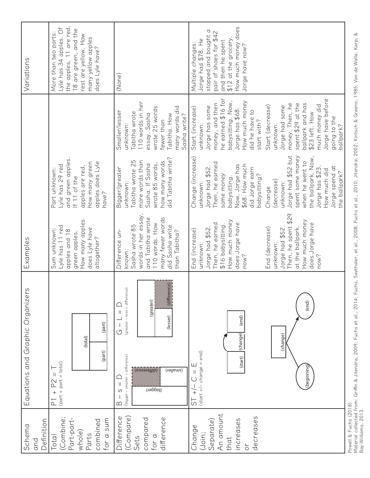| Definition<br>Schema<br>and                                                                    | Equations and Graphic Organizers                                                                                                                                                                             | Examples                                                                                                                                                                                                                                                                   |                                                                                                                                                                                                                                                                                                                                                                     |                                                                                                                                                                                                                                                                                                                                                                                        | Variations                                                                                                                                                                      |
|------------------------------------------------------------------------------------------------|--------------------------------------------------------------------------------------------------------------------------------------------------------------------------------------------------------------|----------------------------------------------------------------------------------------------------------------------------------------------------------------------------------------------------------------------------------------------------------------------------|---------------------------------------------------------------------------------------------------------------------------------------------------------------------------------------------------------------------------------------------------------------------------------------------------------------------------------------------------------------------|----------------------------------------------------------------------------------------------------------------------------------------------------------------------------------------------------------------------------------------------------------------------------------------------------------------------------------------------------------------------------------------|---------------------------------------------------------------------------------------------------------------------------------------------------------------------------------|
| (Combine;<br>Part-part-<br>sum<br>combined<br>whole)<br>for a<br>Parts<br>Total                | (part)<br>(total)<br>(part)<br>$(path + part = total)$<br>P2<br>$\overline{+}$<br>$\overline{P}$                                                                                                             | How many apples<br>Lyle has 11 red<br>does Lyle have<br>Sum unknown:<br>apples and 18<br>green apples.<br>altogether?                                                                                                                                                      | and green apples.<br>how many green<br>apples does Lyle<br>Lyle has 29 red<br>apples are red,<br>Part unknown:<br>If $11$ of the<br>have?                                                                                                                                                                                                                           |                                                                                                                                                                                                                                                                                                                                                                                        | the apples, 11 are red,<br>Lyle has 34 apples. Of<br>18 are green, and the<br>More than two parts:<br>rest are yellow. How<br>many yellow apples<br>does Lyle have?             |
| Difference<br>(Compare)<br>difference<br>compared<br>for $a$<br>Sets                           | (difference)<br>$(greater - less = difference)$<br>(greater)<br>(lesser)<br>$\circlearrowleft$<br>$(bigger - smaller = difference)$<br>(apprence)<br>(applier)<br>$\mathbf{  }$<br>(pigger)<br>S<br>$\infty$ | words in her essay,<br>many fewer words<br>and Tabitha wrote<br>110 words. How<br>Sasha wrote 85<br>did Sasha write<br>than Tabitha?<br>Difference un-<br>known:                                                                                                           | did Tabitha write?<br>Tabitha wrote 25<br>more words than<br>how many words<br>wrote 85 words,<br>Sasha. If Sasha<br>Bigger/greater<br>unknown:                                                                                                                                                                                                                     | 110 words in her<br>many words did<br>wrote 25 words<br>Smaller/lesser<br>Tabitha wrote<br>essay. Sasha<br>Tabitha. How<br>Sasha write?<br>fewer than<br>unknown:                                                                                                                                                                                                                      | (None)                                                                                                                                                                          |
| An amount<br>decreases<br>increases<br>Separate)<br>Change<br>(Join;<br>that<br>$\overline{C}$ | (end)<br>(end)<br>(start) (change)<br>(change)<br>$(stat +/- change = end)$<br>ш<br>(beginning)<br>$\vert$<br>$\widetilde{+}$<br>55                                                                          | Then, he spent \$29<br>How much money<br>How much money<br>does Jorge have<br>Then, he earned<br>does Jorge have<br>\$16 babysitting.<br>at the ballpark.<br>Jorge had \$52.<br>End (decrease)<br>Jorge had \$52<br>End (increase)<br>unknown:<br>unknown:<br>now?<br>mow? | Jorge had \$52 but<br>the ballpark. Now,<br>spent some money<br>Change (increase)<br>when he went to<br>Then, he earned<br>Now, Jorge has<br>\$68. How much<br>Jorge has \$23.<br>Jorge had \$52.<br>Jorge spend at<br>did Jorge earn<br>How much did<br>the ballpark?<br>some money<br>babysitting?<br>babysitting.<br>decrease)<br>unknown:<br>unknown:<br>Change | he earned \$16 for<br>Jorge have before<br>babysitting. Now,<br>How much money<br>money, and then<br>spent \$29 at the<br>money. Then, he<br>ballpark and has<br>much money did<br>Start (decrease)<br>Jorge had some<br>Jorge has some<br>Start (increase)<br>Jorge has \$68.<br>did he have to<br>\$23 left. How<br>going to the<br>start with?<br>unknown:<br>unknown:<br>ballpark? | How much money does<br>stopped and bought a<br>pair of shoes for \$42<br>\$12 at the grocery<br>Jorge had \$78. He<br>and then he spent<br>Multiple changes:<br>Jorge have now? |

Powell & Fuchs (2018).<br>Material collected from: Griffin & Jitendra, 2009; Fuchs et al., 2014; Fuchs, Seethaler, et al., 2008; Fuchs et al., 2010; Jitendra, 2002; Kintsch & Greeno, 1985; Van de Walle, Karp, &<br>Bay-Williams, Material collected from: Griffin & Jitendra, 2009; Fuchs et al., 2014; Fuchs, Seethaler, et al., 2008; Fuchs et al., 2010; Jitendra, 2002; Kintsch & Greeno, 1985; Van de Walle, Karp, & Powell & Fuchs (2018). Bay-Williams, 2013.